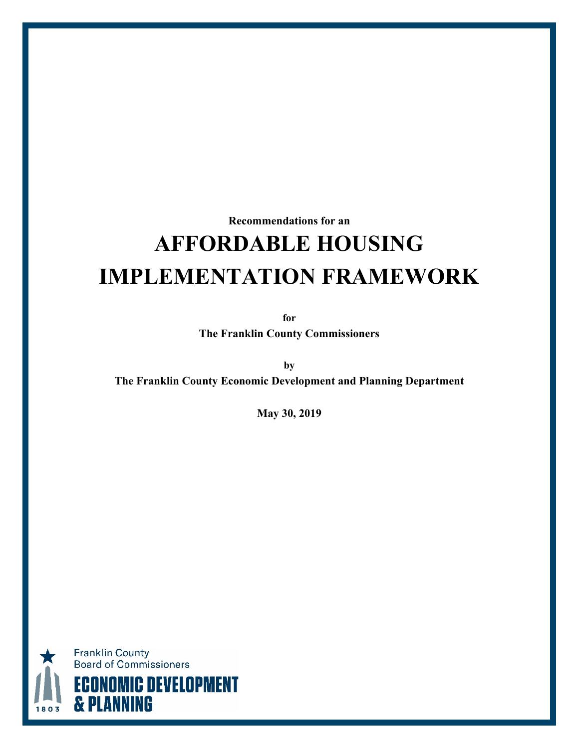# **Recommendations for an AFFORDABLE HOUSING IMPLEMENTATION FRAMEWORK**

**for**

**The Franklin County Commissioners**

**by The Franklin County Economic Development and Planning Department**

**May 30, 2019**

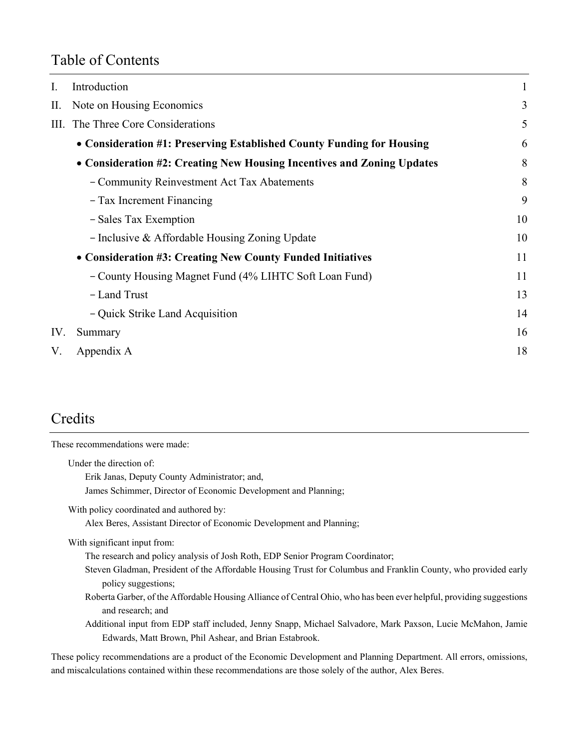# Table of Contents

| I.   | Introduction                                                           | 1  |  |
|------|------------------------------------------------------------------------|----|--|
| П.   | Note on Housing Economics                                              | 3  |  |
| III. | The Three Core Considerations                                          | 5  |  |
|      | • Consideration #1: Preserving Established County Funding for Housing  | 6  |  |
|      | • Consideration #2: Creating New Housing Incentives and Zoning Updates | 8  |  |
|      | - Community Reinvestment Act Tax Abatements                            | 8  |  |
|      | - Tax Increment Financing                                              | 9  |  |
|      | - Sales Tax Exemption                                                  | 10 |  |
|      | - Inclusive & Affordable Housing Zoning Update                         | 10 |  |
|      | • Consideration #3: Creating New County Funded Initiatives             |    |  |
|      | - County Housing Magnet Fund (4% LIHTC Soft Loan Fund)                 | 11 |  |
|      | - Land Trust                                                           | 13 |  |
|      | – Quick Strike Land Acquisition                                        | 14 |  |
| IV.  | Summary                                                                | 16 |  |
| V.   | Appendix A                                                             | 18 |  |
|      |                                                                        |    |  |

# Credits

These recommendations were made:

Under the direction of: Erik Janas, Deputy County Administrator; and, James Schimmer, Director of Economic Development and Planning; With policy coordinated and authored by: Alex Beres, Assistant Director of Economic Development and Planning; With significant input from: The research and policy analysis of Josh Roth, EDP Senior Program Coordinator; Steven Gladman, President of the Affordable Housing Trust for Columbus and Franklin County, who provided early policy suggestions; Roberta Garber, of the Affordable Housing Alliance of Central Ohio, who has been ever helpful, providing suggestions and research; and Additional input from EDP staff included, Jenny Snapp, Michael Salvadore, Mark Paxson, Lucie McMahon, Jamie Edwards, Matt Brown, Phil Ashear, and Brian Estabrook.

These policy recommendations are a product of the Economic Development and Planning Department. All errors, omissions, and miscalculations contained within these recommendations are those solely of the author, Alex Beres.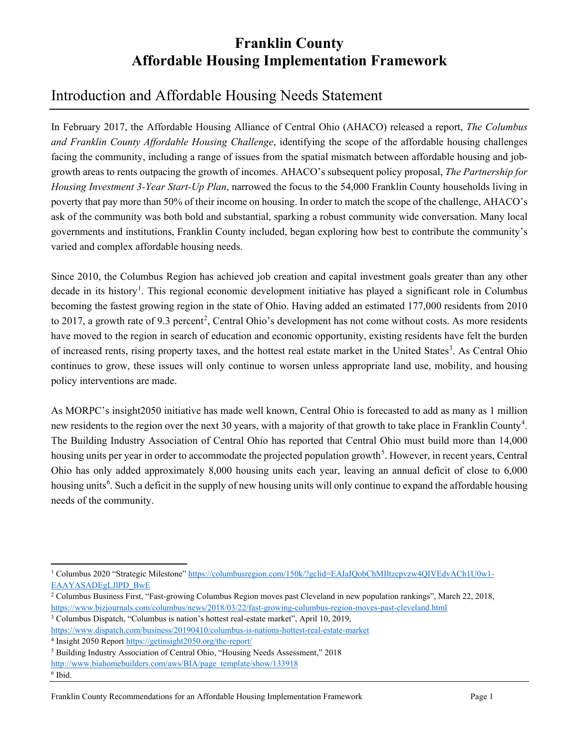# **Franklin County Affordable Housing Implementation Framework**

# Introduction and Affordable Housing Needs Statement

In February 2017, the Affordable Housing Alliance of Central Ohio (AHACO) released a report, *The Columbus and Franklin County Affordable Housing Challenge*, identifying the scope of the affordable housing challenges facing the community, including a range of issues from the spatial mismatch between affordable housing and jobgrowth areas to rents outpacing the growth of incomes. AHACO's subsequent policy proposal, *The Partnership for Housing Investment 3-Year Start-Up Plan*, narrowed the focus to the 54,000 Franklin County households living in poverty that pay more than 50% of their income on housing. In order to match the scope of the challenge, AHACO's ask of the community was both bold and substantial, sparking a robust community wide conversation. Many local governments and institutions, Franklin County included, began exploring how best to contribute the community's varied and complex affordable housing needs.

Since 2010, the Columbus Region has achieved job creation and capital investment goals greater than any other decade in its history<sup>[1](#page-2-0)</sup>. This regional economic development initiative has played a significant role in Columbus becoming the fastest growing region in the state of Ohio. Having added an estimated 177,000 residents from 2010 to [2](#page-2-1)017, a growth rate of 9.3 percent<sup>2</sup>, Central Ohio's development has not come without costs. As more residents have moved to the region in search of education and economic opportunity, existing residents have felt the burden of increased rents, rising property taxes, and the hottest real estate market in the United States<sup>[3](#page-2-2)</sup>. As Central Ohio continues to grow, these issues will only continue to worsen unless appropriate land use, mobility, and housing policy interventions are made.

As MORPC's insight2050 initiative has made well known, Central Ohio is forecasted to add as many as 1 million new residents to the region over the next 30 years, with a majority of that growth to take place in Franklin County<sup>[4](#page-2-3)</sup>. The Building Industry Association of Central Ohio has reported that Central Ohio must build more than 14,000 housing units per year in order to accommodate the projected population growth<sup>[5](#page-2-4)</sup>. However, in recent years, Central Ohio has only added approximately 8,000 housing units each year, leaving an annual deficit of close to 6,000 housing units<sup>[6](#page-2-5)</sup>. Such a deficit in the supply of new housing units will only continue to expand the affordable housing needs of the community.

<span id="page-2-0"></span> $\overline{\phantom{a}}$ <sup>1</sup> Columbus 2020 "Strategic Milestone[" https://columbusregion.com/150k/?gclid=EAIaIQobChMIltzcpvzw4QIVEdvACh1U0w1-](https://columbusregion.com/150k/?gclid=EAIaIQobChMIltzcpvzw4QIVEdvACh1U0w1-EAAYASADEgLJlPD_BwE) [EAAYASADEgLJlPD\\_BwE](https://columbusregion.com/150k/?gclid=EAIaIQobChMIltzcpvzw4QIVEdvACh1U0w1-EAAYASADEgLJlPD_BwE)

<span id="page-2-1"></span><sup>2</sup> Columbus Business First, "Fast-growing Columbus Region moves past Cleveland in new population rankings", March 22, 2018, <https://www.bizjournals.com/columbus/news/2018/03/22/fast-growing-columbus-region-moves-past-cleveland.html>

<span id="page-2-2"></span><sup>3</sup> Columbus Dispatch, "Columbus is nation's hottest real-estate market", April 10, 2019, <https://www.dispatch.com/business/20190410/columbus-is-nations-hottest-real-estate-market>

<span id="page-2-3"></span><sup>4</sup> Insight 2050 Repor[t https://getinsight2050.org/the-report/](https://getinsight2050.org/the-report/)

<span id="page-2-4"></span><sup>5</sup> Building Industry Association of Central Ohio, "Housing Needs Assessment," 2018 [http://www.biahomebuilders.com/aws/BIA/page\\_template/show/133918](http://www.biahomebuilders.com/aws/BIA/page_template/show/133918)

<span id="page-2-5"></span><sup>6</sup> Ibid.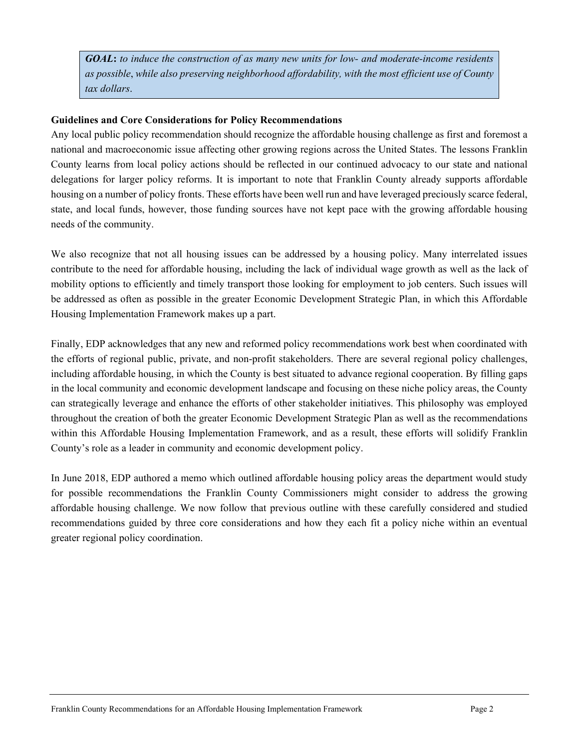*GOAL***:** *to induce the construction of as many new units for low- and moderate-income residents as possible*, *while also preserving neighborhood affordability, with the most efficient use of County tax dollars*.

### **Guidelines and Core Considerations for Policy Recommendations**

Any local public policy recommendation should recognize the affordable housing challenge as first and foremost a national and macroeconomic issue affecting other growing regions across the United States. The lessons Franklin County learns from local policy actions should be reflected in our continued advocacy to our state and national delegations for larger policy reforms. It is important to note that Franklin County already supports affordable housing on a number of policy fronts. These efforts have been well run and have leveraged preciously scarce federal, state, and local funds, however, those funding sources have not kept pace with the growing affordable housing needs of the community.

We also recognize that not all housing issues can be addressed by a housing policy. Many interrelated issues contribute to the need for affordable housing, including the lack of individual wage growth as well as the lack of mobility options to efficiently and timely transport those looking for employment to job centers. Such issues will be addressed as often as possible in the greater Economic Development Strategic Plan, in which this Affordable Housing Implementation Framework makes up a part.

Finally, EDP acknowledges that any new and reformed policy recommendations work best when coordinated with the efforts of regional public, private, and non-profit stakeholders. There are several regional policy challenges, including affordable housing, in which the County is best situated to advance regional cooperation. By filling gaps in the local community and economic development landscape and focusing on these niche policy areas, the County can strategically leverage and enhance the efforts of other stakeholder initiatives. This philosophy was employed throughout the creation of both the greater Economic Development Strategic Plan as well as the recommendations within this Affordable Housing Implementation Framework, and as a result, these efforts will solidify Franklin County's role as a leader in community and economic development policy.

In June 2018, EDP authored a memo which outlined affordable housing policy areas the department would study for possible recommendations the Franklin County Commissioners might consider to address the growing affordable housing challenge. We now follow that previous outline with these carefully considered and studied recommendations guided by three core considerations and how they each fit a policy niche within an eventual greater regional policy coordination.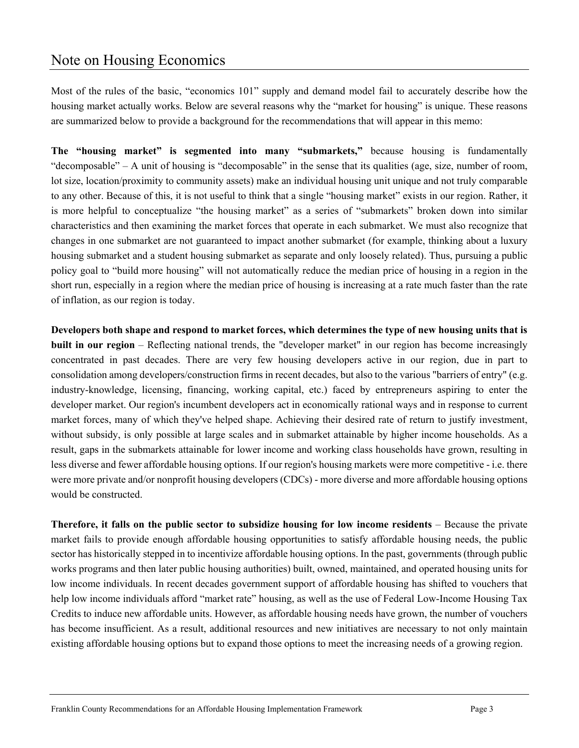# Note on Housing Economics

Most of the rules of the basic, "economics 101" supply and demand model fail to accurately describe how the housing market actually works. Below are several reasons why the "market for housing" is unique. These reasons are summarized below to provide a background for the recommendations that will appear in this memo:

**The "housing market" is segmented into many "submarkets,"** because housing is fundamentally "decomposable" – A unit of housing is "decomposable" in the sense that its qualities (age, size, number of room, lot size, location/proximity to community assets) make an individual housing unit unique and not truly comparable to any other. Because of this, it is not useful to think that a single "housing market" exists in our region. Rather, it is more helpful to conceptualize "the housing market" as a series of "submarkets" broken down into similar characteristics and then examining the market forces that operate in each submarket. We must also recognize that changes in one submarket are not guaranteed to impact another submarket (for example, thinking about a luxury housing submarket and a student housing submarket as separate and only loosely related). Thus, pursuing a public policy goal to "build more housing" will not automatically reduce the median price of housing in a region in the short run, especially in a region where the median price of housing is increasing at a rate much faster than the rate of inflation, as our region is today.

**Developers both shape and respond to market forces, which determines the type of new housing units that is built in our region** – Reflecting national trends, the "developer market" in our region has become increasingly concentrated in past decades. There are very few housing developers active in our region, due in part to consolidation among developers/construction firms in recent decades, but also to the various "barriers of entry" (e.g. industry-knowledge, licensing, financing, working capital, etc.) faced by entrepreneurs aspiring to enter the developer market. Our region's incumbent developers act in economically rational ways and in response to current market forces, many of which they've helped shape. Achieving their desired rate of return to justify investment, without subsidy, is only possible at large scales and in submarket attainable by higher income households. As a result, gaps in the submarkets attainable for lower income and working class households have grown, resulting in less diverse and fewer affordable housing options. If our region's housing markets were more competitive - i.e. there were more private and/or nonprofit housing developers (CDCs) - more diverse and more affordable housing options would be constructed.

**Therefore, it falls on the public sector to subsidize housing for low income residents** – Because the private market fails to provide enough affordable housing opportunities to satisfy affordable housing needs, the public sector has historically stepped in to incentivize affordable housing options. In the past, governments (through public works programs and then later public housing authorities) built, owned, maintained, and operated housing units for low income individuals. In recent decades government support of affordable housing has shifted to vouchers that help low income individuals afford "market rate" housing, as well as the use of Federal Low-Income Housing Tax Credits to induce new affordable units. However, as affordable housing needs have grown, the number of vouchers has become insufficient. As a result, additional resources and new initiatives are necessary to not only maintain existing affordable housing options but to expand those options to meet the increasing needs of a growing region.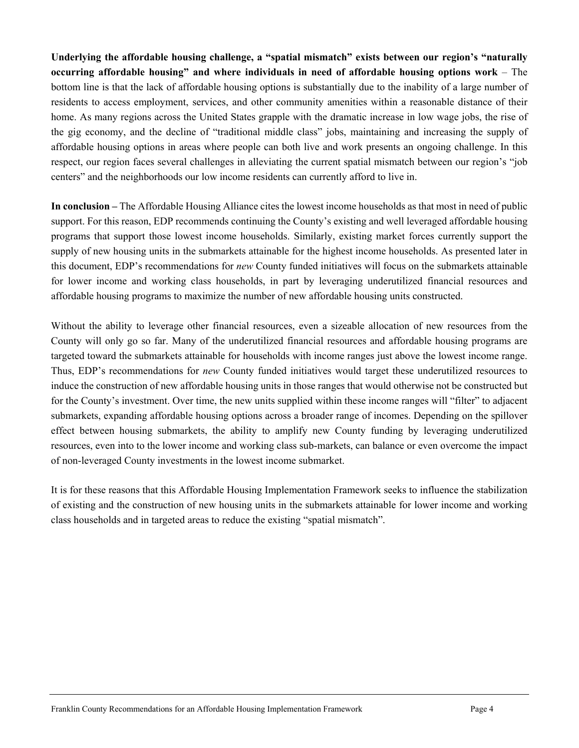**Underlying the affordable housing challenge, a "spatial mismatch" exists between our region's "naturally occurring affordable housing" and where individuals in need of affordable housing options work** – The bottom line is that the lack of affordable housing options is substantially due to the inability of a large number of residents to access employment, services, and other community amenities within a reasonable distance of their home. As many regions across the United States grapple with the dramatic increase in low wage jobs, the rise of the gig economy, and the decline of "traditional middle class" jobs, maintaining and increasing the supply of affordable housing options in areas where people can both live and work presents an ongoing challenge. In this respect, our region faces several challenges in alleviating the current spatial mismatch between our region's "job centers" and the neighborhoods our low income residents can currently afford to live in.

**In conclusion –** The Affordable Housing Alliance cites the lowest income households as that most in need of public support. For this reason, EDP recommends continuing the County's existing and well leveraged affordable housing programs that support those lowest income households. Similarly, existing market forces currently support the supply of new housing units in the submarkets attainable for the highest income households. As presented later in this document, EDP's recommendations for *new* County funded initiatives will focus on the submarkets attainable for lower income and working class households, in part by leveraging underutilized financial resources and affordable housing programs to maximize the number of new affordable housing units constructed.

Without the ability to leverage other financial resources, even a sizeable allocation of new resources from the County will only go so far. Many of the underutilized financial resources and affordable housing programs are targeted toward the submarkets attainable for households with income ranges just above the lowest income range. Thus, EDP's recommendations for *new* County funded initiatives would target these underutilized resources to induce the construction of new affordable housing units in those ranges that would otherwise not be constructed but for the County's investment. Over time, the new units supplied within these income ranges will "filter" to adjacent submarkets, expanding affordable housing options across a broader range of incomes. Depending on the spillover effect between housing submarkets, the ability to amplify new County funding by leveraging underutilized resources, even into to the lower income and working class sub-markets, can balance or even overcome the impact of non-leveraged County investments in the lowest income submarket.

It is for these reasons that this Affordable Housing Implementation Framework seeks to influence the stabilization of existing and the construction of new housing units in the submarkets attainable for lower income and working class households and in targeted areas to reduce the existing "spatial mismatch".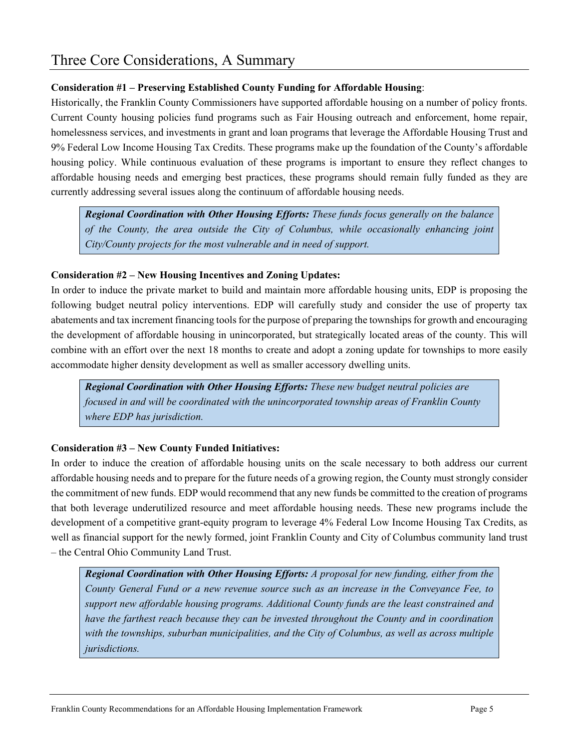### **Consideration #1 – Preserving Established County Funding for Affordable Housing**:

Historically, the Franklin County Commissioners have supported affordable housing on a number of policy fronts. Current County housing policies fund programs such as Fair Housing outreach and enforcement, home repair, homelessness services, and investments in grant and loan programs that leverage the Affordable Housing Trust and 9% Federal Low Income Housing Tax Credits. These programs make up the foundation of the County's affordable housing policy. While continuous evaluation of these programs is important to ensure they reflect changes to affordable housing needs and emerging best practices, these programs should remain fully funded as they are currently addressing several issues along the continuum of affordable housing needs.

*Regional Coordination with Other Housing Efforts: These funds focus generally on the balance of the County, the area outside the City of Columbus, while occasionally enhancing joint City/County projects for the most vulnerable and in need of support.*

## **Consideration #2 – New Housing Incentives and Zoning Updates:**

In order to induce the private market to build and maintain more affordable housing units, EDP is proposing the following budget neutral policy interventions. EDP will carefully study and consider the use of property tax abatements and tax increment financing tools for the purpose of preparing the townships for growth and encouraging the development of affordable housing in unincorporated, but strategically located areas of the county. This will combine with an effort over the next 18 months to create and adopt a zoning update for townships to more easily accommodate higher density development as well as smaller accessory dwelling units.

*Regional Coordination with Other Housing Efforts: These new budget neutral policies are focused in and will be coordinated with the unincorporated township areas of Franklin County where EDP has jurisdiction.*

# **Consideration #3 – New County Funded Initiatives:**

In order to induce the creation of affordable housing units on the scale necessary to both address our current affordable housing needs and to prepare for the future needs of a growing region, the County must strongly consider the commitment of new funds. EDP would recommend that any new funds be committed to the creation of programs that both leverage underutilized resource and meet affordable housing needs. These new programs include the development of a competitive grant-equity program to leverage 4% Federal Low Income Housing Tax Credits, as well as financial support for the newly formed, joint Franklin County and City of Columbus community land trust – the Central Ohio Community Land Trust.

*Regional Coordination with Other Housing Efforts: A proposal for new funding, either from the County General Fund or a new revenue source such as an increase in the Conveyance Fee, to support new affordable housing programs. Additional County funds are the least constrained and have the farthest reach because they can be invested throughout the County and in coordination with the townships, suburban municipalities, and the City of Columbus, as well as across multiple jurisdictions.*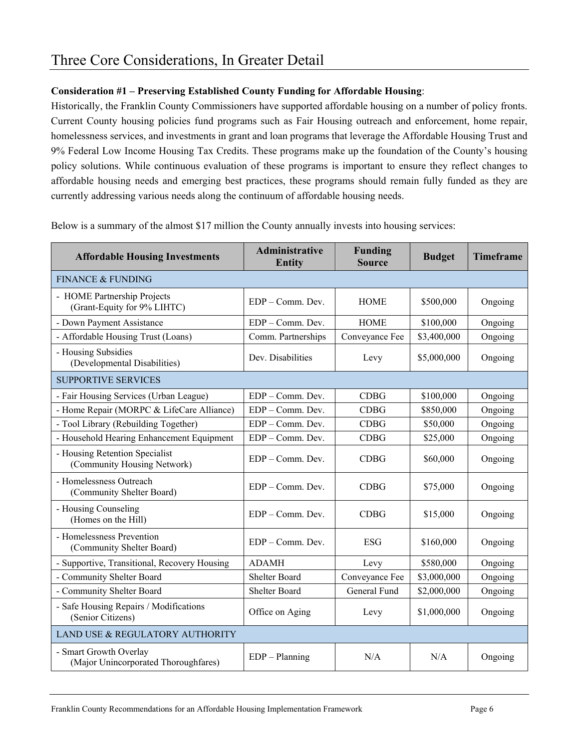## **Consideration #1 – Preserving Established County Funding for Affordable Housing**:

Historically, the Franklin County Commissioners have supported affordable housing on a number of policy fronts. Current County housing policies fund programs such as Fair Housing outreach and enforcement, home repair, homelessness services, and investments in grant and loan programs that leverage the Affordable Housing Trust and 9% Federal Low Income Housing Tax Credits. These programs make up the foundation of the County's housing policy solutions. While continuous evaluation of these programs is important to ensure they reflect changes to affordable housing needs and emerging best practices, these programs should remain fully funded as they are currently addressing various needs along the continuum of affordable housing needs.

**Affordable Housing Investments Administrative Entity Funding Source Budget Timeframe** FINANCE & FUNDING - HOME Partnership Projects (Grant-Equity for 9% LIHTC) EDP – Comm. Dev. HOME \$500,000 Ongoing - Down Payment Assistance EDP – Comm. Dev. HOME \$100,000 Ongoing - Affordable Housing Trust (Loans) Comm. Partnerships Conveyance Fee \$3,400,000 Ongoing - Housing Subsidies Using Subsidies<br>
Dev. Disabilities Levy \$5,000,000 Ongoing<br>
Dev. Disabilities Levy \$5,000,000 Ongoing SUPPORTIVE SERVICES - Fair Housing Services (Urban League)  $EDP - Comm. Dev.$  CDBG \$100,000 Ongoing - Home Repair (MORPC & LifeCare Alliance) EDP – Comm. Dev. CDBG | \$850,000 Ongoing - Tool Library (Rebuilding Together)  $\vert$  EDP – Comm. Dev. CDBG  $\vert$  \$50,000  $\vert$  Ongoing - Household Hearing Enhancement Equipment | EDP – Comm. Dev. | CDBG | \$25,000 | Ongoing - Housing Retention Specialist ousing Retention Specialist<br>
(Community Housing Network) EDP – Comm. Dev. CDBG \$60,000 Ongoing - Homelessness Outreach (Community Shelter Board) EDP – Comm. Dev. CDBG \$75,000 Ongoing - Housing Counseling Using Counseling (Homes on the Hill)  $EDP - Comm. Dev.$   $CDBG \t 315,000$  Ongoing - Homelessness Prevention omeressiess Freemion<br>
(Community Shelter Board) EDP – Comm. Dev. ESG \$160,000 Ongoing - Supportive, Transitional, Recovery Housing | ADAMH Levy | \$580,000 Ongoing - Community Shelter Board Shelter Board Shelter Board Conveyance Fee \$3,000,000 Ongoing - Community Shelter Board Shelter Board Shelter Board General Fund \$2,000,000 Ongoing - Safe Housing Repairs / Modifications Sale Housing Repairs > Modifications <br>
Office on Aging Levy \$1,000,000 Ongoing<br>
Office on Aging Levy \$1,000,000 Ongoing LAND USE & REGULATORY AUTHORITY - Smart Growth Overlay (Major Unincorporated Thoroughfares)  $\begin{vmatrix} EDP - Planning & N/A & N/A \end{vmatrix}$  Ongoing

Below is a summary of the almost \$17 million the County annually invests into housing services: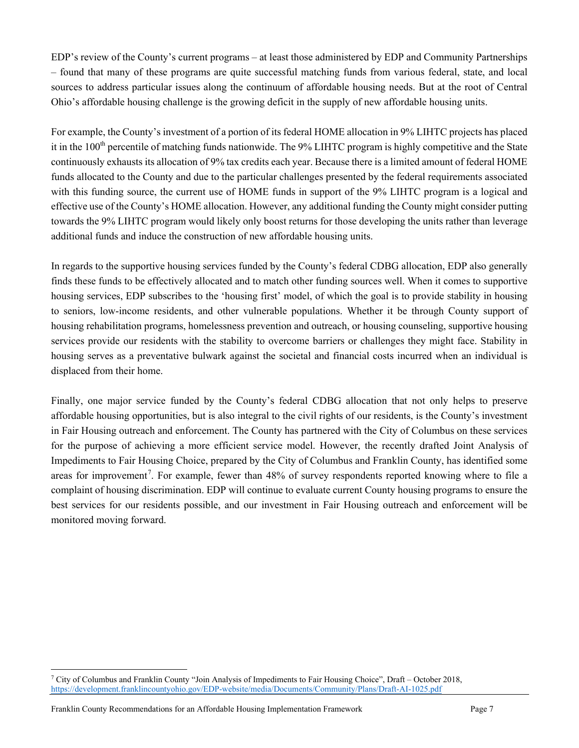EDP's review of the County's current programs – at least those administered by EDP and Community Partnerships – found that many of these programs are quite successful matching funds from various federal, state, and local sources to address particular issues along the continuum of affordable housing needs. But at the root of Central Ohio's affordable housing challenge is the growing deficit in the supply of new affordable housing units.

For example, the County's investment of a portion of its federal HOME allocation in 9% LIHTC projects has placed it in the 100<sup>th</sup> percentile of matching funds nationwide. The 9% LIHTC program is highly competitive and the State continuously exhausts its allocation of 9% tax credits each year. Because there is a limited amount of federal HOME funds allocated to the County and due to the particular challenges presented by the federal requirements associated with this funding source, the current use of HOME funds in support of the 9% LIHTC program is a logical and effective use of the County's HOME allocation. However, any additional funding the County might consider putting towards the 9% LIHTC program would likely only boost returns for those developing the units rather than leverage additional funds and induce the construction of new affordable housing units.

In regards to the supportive housing services funded by the County's federal CDBG allocation, EDP also generally finds these funds to be effectively allocated and to match other funding sources well. When it comes to supportive housing services, EDP subscribes to the 'housing first' model, of which the goal is to provide stability in housing to seniors, low-income residents, and other vulnerable populations. Whether it be through County support of housing rehabilitation programs, homelessness prevention and outreach, or housing counseling, supportive housing services provide our residents with the stability to overcome barriers or challenges they might face. Stability in housing serves as a preventative bulwark against the societal and financial costs incurred when an individual is displaced from their home.

Finally, one major service funded by the County's federal CDBG allocation that not only helps to preserve affordable housing opportunities, but is also integral to the civil rights of our residents, is the County's investment in Fair Housing outreach and enforcement. The County has partnered with the City of Columbus on these services for the purpose of achieving a more efficient service model. However, the recently drafted Joint Analysis of Impediments to Fair Housing Choice, prepared by the City of Columbus and Franklin County, has identified some areas for improvement<sup>[7](#page-8-0)</sup>. For example, fewer than 48% of survey respondents reported knowing where to file a complaint of housing discrimination. EDP will continue to evaluate current County housing programs to ensure the best services for our residents possible, and our investment in Fair Housing outreach and enforcement will be monitored moving forward.

<span id="page-8-0"></span> $\overline{\phantom{a}}$ <sup>7</sup> City of Columbus and Franklin County "Join Analysis of Impediments to Fair Housing Choice", Draft – October 2018, <https://development.franklincountyohio.gov/EDP-website/media/Documents/Community/Plans/Draft-AI-1025.pdf>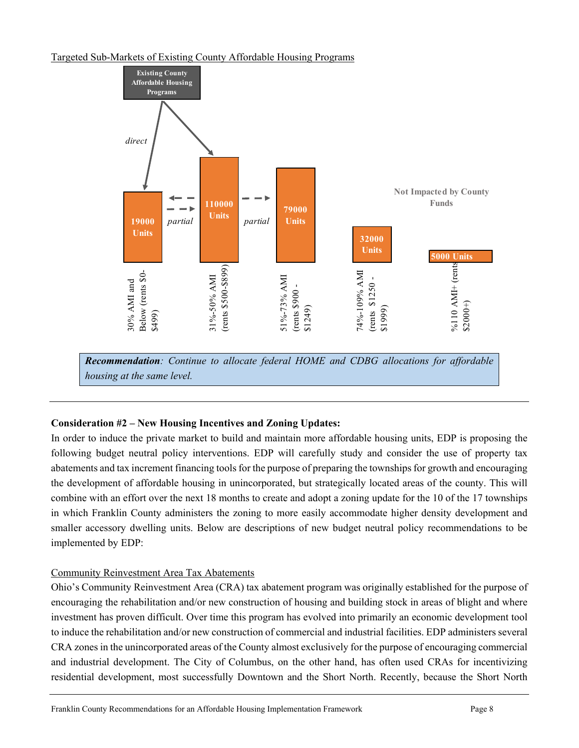#### Targeted Sub-Markets of Existing County Affordable Housing Programs



### **Consideration #2 – New Housing Incentives and Zoning Updates:**

In order to induce the private market to build and maintain more affordable housing units, EDP is proposing the following budget neutral policy interventions. EDP will carefully study and consider the use of property tax abatements and tax increment financing tools for the purpose of preparing the townships for growth and encouraging the development of affordable housing in unincorporated, but strategically located areas of the county. This will combine with an effort over the next 18 months to create and adopt a zoning update for the 10 of the 17 townships in which Franklin County administers the zoning to more easily accommodate higher density development and smaller accessory dwelling units. Below are descriptions of new budget neutral policy recommendations to be implemented by EDP:

### Community Reinvestment Area Tax Abatements

Ohio's Community Reinvestment Area (CRA) tax abatement program was originally established for the purpose of encouraging the rehabilitation and/or new construction of housing and building stock in areas of blight and where investment has proven difficult. Over time this program has evolved into primarily an economic development tool to induce the rehabilitation and/or new construction of commercial and industrial facilities. EDP administers several CRA zones in the unincorporated areas of the County almost exclusively for the purpose of encouraging commercial and industrial development. The City of Columbus, on the other hand, has often used CRAs for incentivizing residential development, most successfully Downtown and the Short North. Recently, because the Short North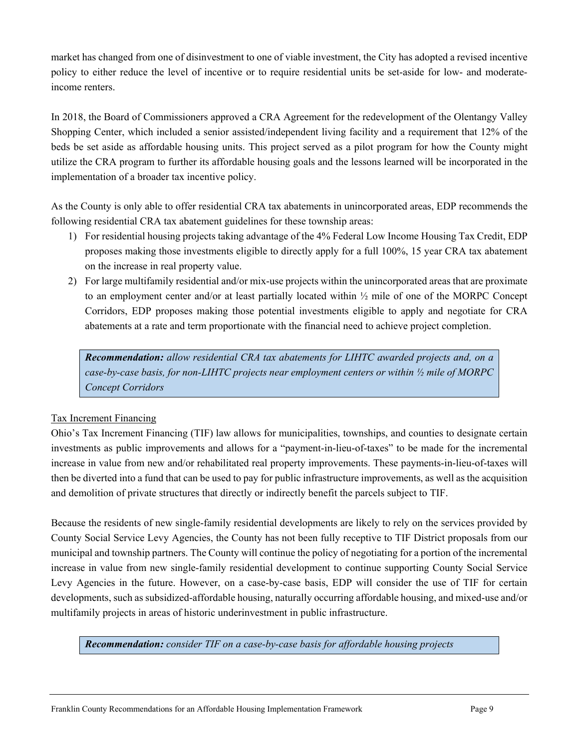market has changed from one of disinvestment to one of viable investment, the City has adopted a revised incentive policy to either reduce the level of incentive or to require residential units be set-aside for low- and moderateincome renters.

In 2018, the Board of Commissioners approved a CRA Agreement for the redevelopment of the Olentangy Valley Shopping Center, which included a senior assisted/independent living facility and a requirement that 12% of the beds be set aside as affordable housing units. This project served as a pilot program for how the County might utilize the CRA program to further its affordable housing goals and the lessons learned will be incorporated in the implementation of a broader tax incentive policy.

As the County is only able to offer residential CRA tax abatements in unincorporated areas, EDP recommends the following residential CRA tax abatement guidelines for these township areas:

- 1) For residential housing projects taking advantage of the 4% Federal Low Income Housing Tax Credit, EDP proposes making those investments eligible to directly apply for a full 100%, 15 year CRA tax abatement on the increase in real property value.
- 2) For large multifamily residential and/or mix-use projects within the unincorporated areas that are proximate to an employment center and/or at least partially located within ½ mile of one of the MORPC Concept Corridors, EDP proposes making those potential investments eligible to apply and negotiate for CRA abatements at a rate and term proportionate with the financial need to achieve project completion.

*Recommendation: allow residential CRA tax abatements for LIHTC awarded projects and, on a case-by-case basis, for non-LIHTC projects near employment centers or within ½ mile of MORPC Concept Corridors*

# Tax Increment Financing

Ohio's Tax Increment Financing (TIF) law allows for municipalities, townships, and counties to designate certain investments as public improvements and allows for a "payment-in-lieu-of-taxes" to be made for the incremental increase in value from new and/or rehabilitated real property improvements. These payments-in-lieu-of-taxes will then be diverted into a fund that can be used to pay for public infrastructure improvements, as well as the acquisition and demolition of private structures that directly or indirectly benefit the parcels subject to TIF.

Because the residents of new single-family residential developments are likely to rely on the services provided by County Social Service Levy Agencies, the County has not been fully receptive to TIF District proposals from our municipal and township partners. The County will continue the policy of negotiating for a portion of the incremental increase in value from new single-family residential development to continue supporting County Social Service Levy Agencies in the future. However, on a case-by-case basis, EDP will consider the use of TIF for certain developments, such as subsidized-affordable housing, naturally occurring affordable housing, and mixed-use and/or multifamily projects in areas of historic underinvestment in public infrastructure.

*Recommendation: consider TIF on a case-by-case basis for affordable housing projects*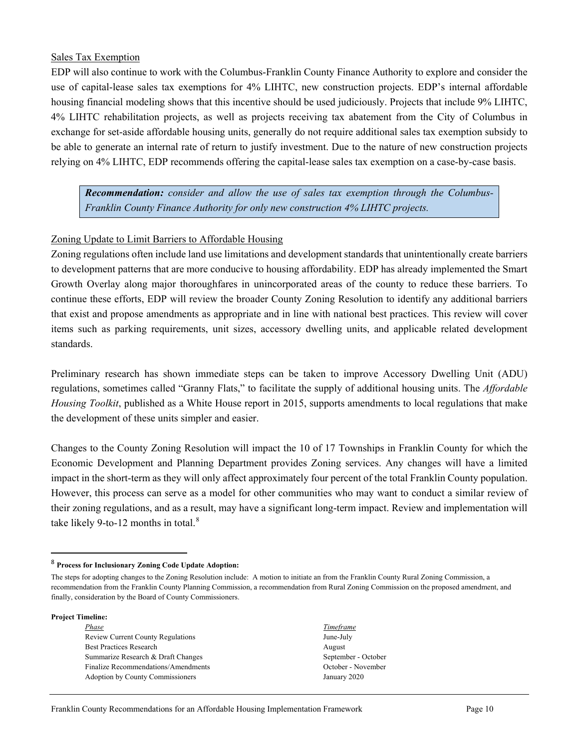#### Sales Tax Exemption

EDP will also continue to work with the Columbus-Franklin County Finance Authority to explore and consider the use of capital-lease sales tax exemptions for 4% LIHTC, new construction projects. EDP's internal affordable housing financial modeling shows that this incentive should be used judiciously. Projects that include 9% LIHTC, 4% LIHTC rehabilitation projects, as well as projects receiving tax abatement from the City of Columbus in exchange for set-aside affordable housing units, generally do not require additional sales tax exemption subsidy to be able to generate an internal rate of return to justify investment. Due to the nature of new construction projects relying on 4% LIHTC, EDP recommends offering the capital-lease sales tax exemption on a case-by-case basis.

*Recommendation: consider and allow the use of sales tax exemption through the Columbus-Franklin County Finance Authority for only new construction 4% LIHTC projects.*

## Zoning Update to Limit Barriers to Affordable Housing

Zoning regulations often include land use limitations and development standards that unintentionally create barriers to development patterns that are more conducive to housing affordability. EDP has already implemented the Smart Growth Overlay along major thoroughfares in unincorporated areas of the county to reduce these barriers. To continue these efforts, EDP will review the broader County Zoning Resolution to identify any additional barriers that exist and propose amendments as appropriate and in line with national best practices. This review will cover items such as parking requirements, unit sizes, accessory dwelling units, and applicable related development standards.

Preliminary research has shown immediate steps can be taken to improve Accessory Dwelling Unit (ADU) regulations, sometimes called "Granny Flats," to facilitate the supply of additional housing units. The *Affordable Housing Toolkit*, published as a White House report in 2015, supports amendments to local regulations that make the development of these units simpler and easier.

Changes to the County Zoning Resolution will impact the 10 of 17 Townships in Franklin County for which the Economic Development and Planning Department provides Zoning services. Any changes will have a limited impact in the short-term as they will only affect approximately four percent of the total Franklin County population. However, this process can serve as a model for other communities who may want to conduct a similar review of their zoning regulations, and as a result, may have a significant long-term impact. Review and implementation will take likely 9-to-12 months in total. $8$ 

#### **Project Timeline:**

*Phase Timeframe* Review Current County Regulations June-July Best Practices Research August 2018 Summarize Research & Draft Changes September - October September - October Finalize Recommendations/Amendments October - November Adoption by County Commissioners January 2020

<span id="page-11-0"></span> <sup>8</sup> **Process for Inclusionary Zoning Code Update Adoption:**

The steps for adopting changes to the Zoning Resolution include: A motion to initiate an from the Franklin County Rural Zoning Commission, a recommendation from the Franklin County Planning Commission, a recommendation from Rural Zoning Commission on the proposed amendment, and finally, consideration by the Board of County Commissioners.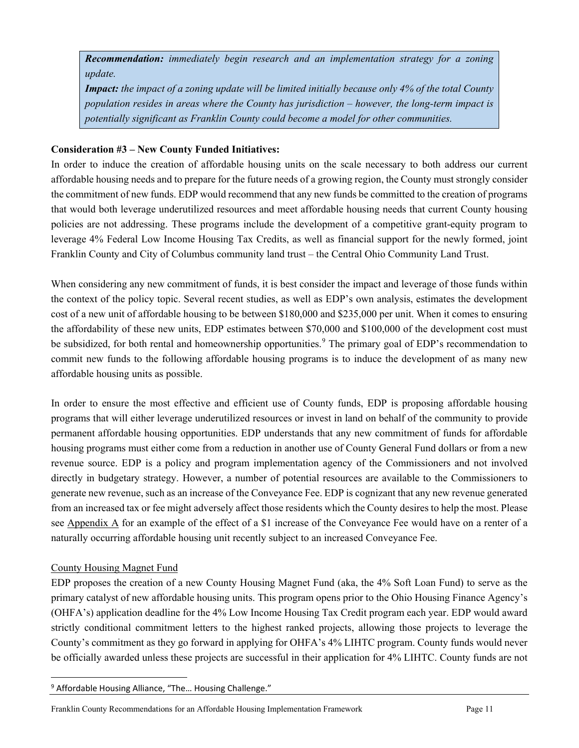*Recommendation: immediately begin research and an implementation strategy for a zoning update.* 

*Impact: the impact of a zoning update will be limited initially because only 4% of the total County population resides in areas where the County has jurisdiction – however, the long-term impact is potentially significant as Franklin County could become a model for other communities.*

### **Consideration #3 – New County Funded Initiatives:**

In order to induce the creation of affordable housing units on the scale necessary to both address our current affordable housing needs and to prepare for the future needs of a growing region, the County must strongly consider the commitment of new funds. EDP would recommend that any new funds be committed to the creation of programs that would both leverage underutilized resources and meet affordable housing needs that current County housing policies are not addressing. These programs include the development of a competitive grant-equity program to leverage 4% Federal Low Income Housing Tax Credits, as well as financial support for the newly formed, joint Franklin County and City of Columbus community land trust – the Central Ohio Community Land Trust.

When considering any new commitment of funds, it is best consider the impact and leverage of those funds within the context of the policy topic. Several recent studies, as well as EDP's own analysis, estimates the development cost of a new unit of affordable housing to be between \$180,000 and \$235,000 per unit. When it comes to ensuring the affordability of these new units, EDP estimates between \$70,000 and \$100,000 of the development cost must be subsidized, for both rental and homeownership opportunities.<sup>[9](#page-12-0)</sup> The primary goal of EDP's recommendation to commit new funds to the following affordable housing programs is to induce the development of as many new affordable housing units as possible.

In order to ensure the most effective and efficient use of County funds, EDP is proposing affordable housing programs that will either leverage underutilized resources or invest in land on behalf of the community to provide permanent affordable housing opportunities. EDP understands that any new commitment of funds for affordable housing programs must either come from a reduction in another use of County General Fund dollars or from a new revenue source. EDP is a policy and program implementation agency of the Commissioners and not involved directly in budgetary strategy. However, a number of potential resources are available to the Commissioners to generate new revenue, such as an increase of the Conveyance Fee. EDP is cognizant that any new revenue generated from an increased tax or fee might adversely affect those residents which the County desires to help the most. Please see Appendix A for an example of the effect of a \$1 increase of the Conveyance Fee would have on a renter of a naturally occurring affordable housing unit recently subject to an increased Conveyance Fee.

### County Housing Magnet Fund

EDP proposes the creation of a new County Housing Magnet Fund (aka, the 4% Soft Loan Fund) to serve as the primary catalyst of new affordable housing units. This program opens prior to the Ohio Housing Finance Agency's (OHFA's) application deadline for the 4% Low Income Housing Tax Credit program each year. EDP would award strictly conditional commitment letters to the highest ranked projects, allowing those projects to leverage the County's commitment as they go forward in applying for OHFA's 4% LIHTC program. County funds would never be officially awarded unless these projects are successful in their application for 4% LIHTC. County funds are not

<span id="page-12-0"></span><sup>&</sup>lt;sup>9</sup> Affordable Housing Alliance, "The... Housing Challenge."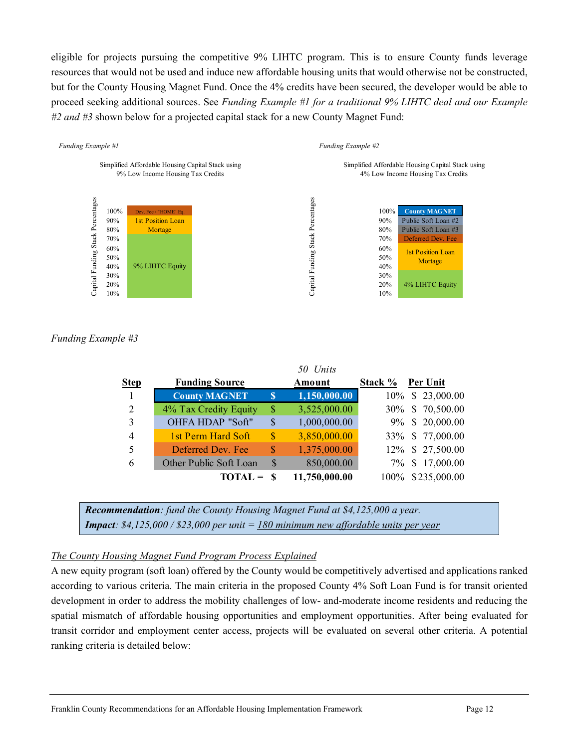eligible for projects pursuing the competitive 9% LIHTC program. This is to ensure County funds leverage resources that would not be used and induce new affordable housing units that would otherwise not be constructed, but for the County Housing Magnet Fund. Once the 4% credits have been secured, the developer would be able to proceed seeking additional sources. See *Funding Example #1 for a traditional 9% LIHTC deal and our Example #2 and #3* shown below for a projected capital stack for a new County Magnet Fund:



*Funding Example #3*

|                |                        |               | 50 Units      |         |                   |
|----------------|------------------------|---------------|---------------|---------|-------------------|
| <b>Step</b>    | <b>Funding Source</b>  |               | Amount        | Stack % | Per Unit          |
| 1              | <b>County MAGNET</b>   | $\mathbf S$   | 1,150,000.00  |         | 10\% \$ 23,000.00 |
| $\overline{2}$ | 4% Tax Credity Equity  | S             | 3,525,000.00  |         | 30% \$ 70,500.00  |
| 3              | OHFA HDAP "Soft"       | \$            | 1,000,000.00  |         | 9% \$ 20,000.00   |
| 4              | 1st Perm Hard Soft     | S             | 3,850,000.00  |         | 33% \$ 77,000.00  |
| 5              | Deferred Dev. Fee      | <b>S</b>      | 1,375,000.00  |         | 12% \$ 27,500.00  |
| 6              | Other Public Soft Loan | <sup>\$</sup> | 850,000.00    |         | 7% \$17,000.00    |
|                | TOTAL<br>$=$           | - 8           | 11,750,000.00 |         | 100% \$235,000.00 |

*Recommendation: fund the County Housing Magnet Fund at \$4,125,000 a year. Impact: \$4,125,000 / \$23,000 per unit = 180 minimum new affordable units per year*

# *The County Housing Magnet Fund Program Process Explained*

A new equity program (soft loan) offered by the County would be competitively advertised and applications ranked according to various criteria. The main criteria in the proposed County 4% Soft Loan Fund is for transit oriented development in order to address the mobility challenges of low- and-moderate income residents and reducing the spatial mismatch of affordable housing opportunities and employment opportunities. After being evaluated for transit corridor and employment center access, projects will be evaluated on several other criteria. A potential ranking criteria is detailed below: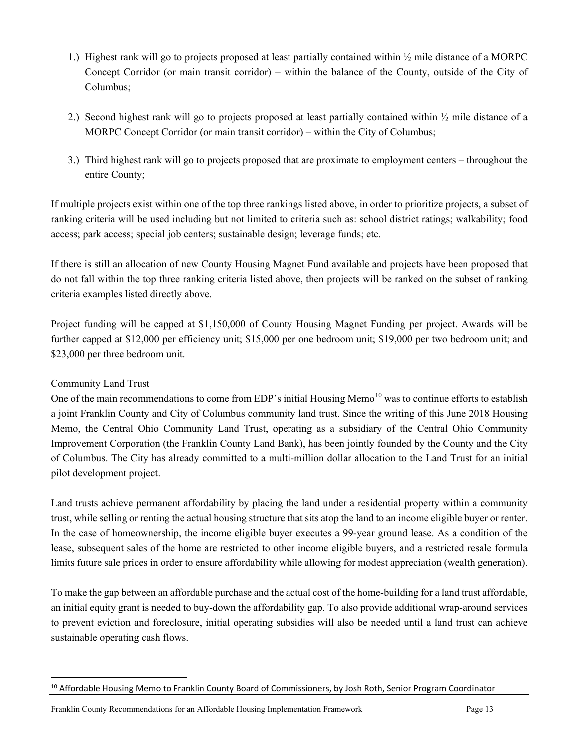- 1.) Highest rank will go to projects proposed at least partially contained within ½ mile distance of a MORPC Concept Corridor (or main transit corridor) – within the balance of the County, outside of the City of Columbus;
- 2.) Second highest rank will go to projects proposed at least partially contained within ½ mile distance of a MORPC Concept Corridor (or main transit corridor) – within the City of Columbus;
- 3.) Third highest rank will go to projects proposed that are proximate to employment centers throughout the entire County;

If multiple projects exist within one of the top three rankings listed above, in order to prioritize projects, a subset of ranking criteria will be used including but not limited to criteria such as: school district ratings; walkability; food access; park access; special job centers; sustainable design; leverage funds; etc.

If there is still an allocation of new County Housing Magnet Fund available and projects have been proposed that do not fall within the top three ranking criteria listed above, then projects will be ranked on the subset of ranking criteria examples listed directly above.

Project funding will be capped at \$1,150,000 of County Housing Magnet Funding per project. Awards will be further capped at \$12,000 per efficiency unit; \$15,000 per one bedroom unit; \$19,000 per two bedroom unit; and \$23,000 per three bedroom unit.

### Community Land Trust

One of the main recommendations to come from EDP's initial Housing Memo<sup>[10](#page-14-0)</sup> was to continue efforts to establish a joint Franklin County and City of Columbus community land trust. Since the writing of this June 2018 Housing Memo, the Central Ohio Community Land Trust, operating as a subsidiary of the Central Ohio Community Improvement Corporation (the Franklin County Land Bank), has been jointly founded by the County and the City of Columbus. The City has already committed to a multi-million dollar allocation to the Land Trust for an initial pilot development project.

Land trusts achieve permanent affordability by placing the land under a residential property within a community trust, while selling or renting the actual housing structure that sits atop the land to an income eligible buyer or renter. In the case of homeownership, the income eligible buyer executes a 99-year ground lease. As a condition of the lease, subsequent sales of the home are restricted to other income eligible buyers, and a restricted resale formula limits future sale prices in order to ensure affordability while allowing for modest appreciation (wealth generation).

To make the gap between an affordable purchase and the actual cost of the home-building for a land trust affordable, an initial equity grant is needed to buy-down the affordability gap. To also provide additional wrap-around services to prevent eviction and foreclosure, initial operating subsidies will also be needed until a land trust can achieve sustainable operating cash flows.

<span id="page-14-0"></span><sup>&</sup>lt;sup>10</sup> Affordable Housing Memo to Franklin County Board of Commissioners, by Josh Roth, Senior Program Coordinator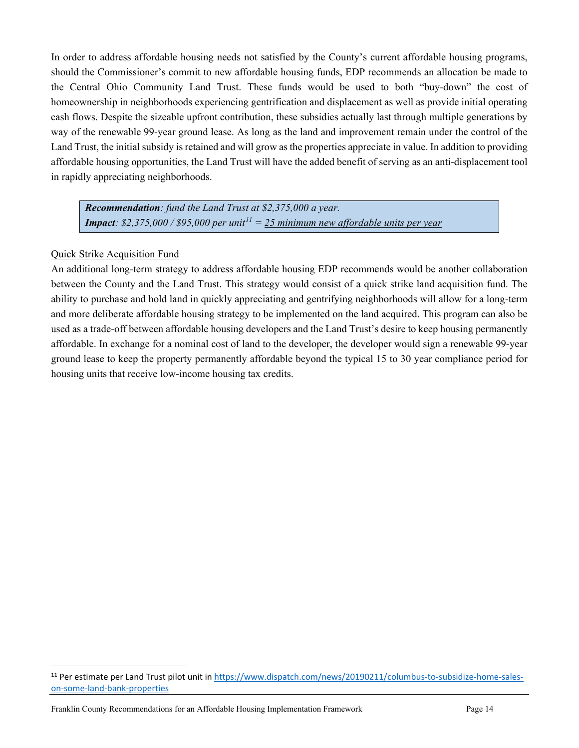In order to address affordable housing needs not satisfied by the County's current affordable housing programs, should the Commissioner's commit to new affordable housing funds, EDP recommends an allocation be made to the Central Ohio Community Land Trust. These funds would be used to both "buy-down" the cost of homeownership in neighborhoods experiencing gentrification and displacement as well as provide initial operating cash flows. Despite the sizeable upfront contribution, these subsidies actually last through multiple generations by way of the renewable 99-year ground lease. As long as the land and improvement remain under the control of the Land Trust, the initial subsidy is retained and will grow as the properties appreciate in value. In addition to providing affordable housing opportunities, the Land Trust will have the added benefit of serving as an anti-displacement tool in rapidly appreciating neighborhoods.

*Recommendation: fund the Land Trust at \$2,375,000 a year. Impact: \$2,375,000 / \$95,000 per unit[11](#page-15-0) = 25 minimum new affordable units per year*

### Quick Strike Acquisition Fund

An additional long-term strategy to address affordable housing EDP recommends would be another collaboration between the County and the Land Trust. This strategy would consist of a quick strike land acquisition fund. The ability to purchase and hold land in quickly appreciating and gentrifying neighborhoods will allow for a long-term and more deliberate affordable housing strategy to be implemented on the land acquired. This program can also be used as a trade-off between affordable housing developers and the Land Trust's desire to keep housing permanently affordable. In exchange for a nominal cost of land to the developer, the developer would sign a renewable 99-year ground lease to keep the property permanently affordable beyond the typical 15 to 30 year compliance period for housing units that receive low-income housing tax credits.

<span id="page-15-0"></span> <sup>11</sup> Per estimate per Land Trust pilot unit i[n https://www.dispatch.com/news/20190211/columbus-to-subsidize-home-sales](https://www.dispatch.com/news/20190211/columbus-to-subsidize-home-sales-on-some-land-bank-properties)[on-some-land-bank-properties](https://www.dispatch.com/news/20190211/columbus-to-subsidize-home-sales-on-some-land-bank-properties)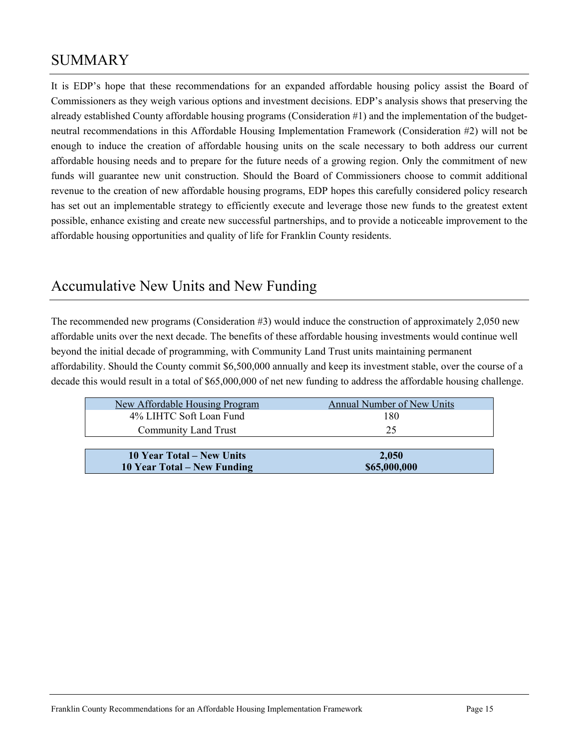# SUMMARY

It is EDP's hope that these recommendations for an expanded affordable housing policy assist the Board of Commissioners as they weigh various options and investment decisions. EDP's analysis shows that preserving the already established County affordable housing programs (Consideration #1) and the implementation of the budgetneutral recommendations in this Affordable Housing Implementation Framework (Consideration #2) will not be enough to induce the creation of affordable housing units on the scale necessary to both address our current affordable housing needs and to prepare for the future needs of a growing region. Only the commitment of new funds will guarantee new unit construction. Should the Board of Commissioners choose to commit additional revenue to the creation of new affordable housing programs, EDP hopes this carefully considered policy research has set out an implementable strategy to efficiently execute and leverage those new funds to the greatest extent possible, enhance existing and create new successful partnerships, and to provide a noticeable improvement to the affordable housing opportunities and quality of life for Franklin County residents.

# Accumulative New Units and New Funding

The recommended new programs (Consideration #3) would induce the construction of approximately 2,050 new affordable units over the next decade. The benefits of these affordable housing investments would continue well beyond the initial decade of programming, with Community Land Trust units maintaining permanent affordability. Should the County commit \$6,500,000 annually and keep its investment stable, over the course of a decade this would result in a total of \$65,000,000 of net new funding to address the affordable housing challenge.

| New Affordable Housing Program | Annual Number of New Units |
|--------------------------------|----------------------------|
| 4% LIHTC Soft Loan Fund        | 180                        |
| Community Land Trust           | 25                         |
|                                |                            |
| 10 Year Total – New Units      | 2.050                      |

**10 Year Total – New Funding \$65,000,000**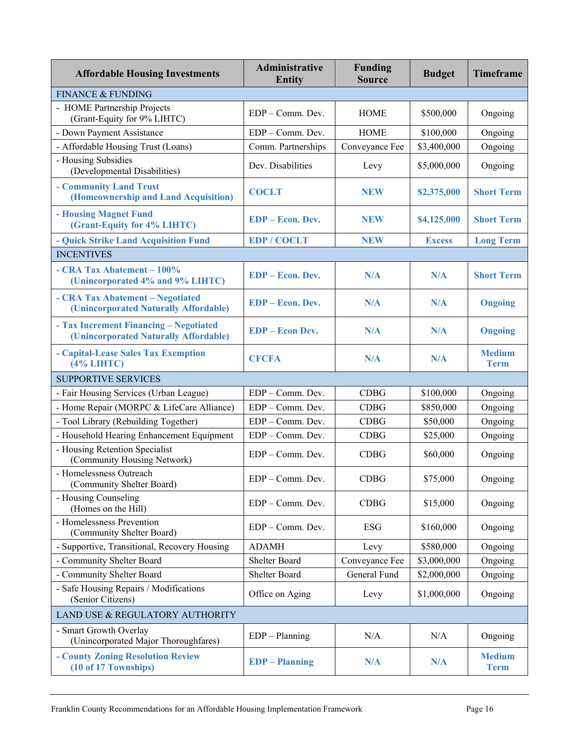| <b>Affordable Housing Investments</b>                                           | <b>Administrative</b><br><b>Entity</b> | <b>Funding</b><br><b>Source</b> | <b>Budget</b> | <b>Timeframe</b>             |
|---------------------------------------------------------------------------------|----------------------------------------|---------------------------------|---------------|------------------------------|
| <b>FINANCE &amp; FUNDING</b>                                                    |                                        |                                 |               |                              |
| - HOME Partnership Projects<br>(Grant-Equity for 9% LIHTC)                      | EDP - Comm. Dev.                       | <b>HOME</b>                     | \$500,000     | Ongoing                      |
| - Down Payment Assistance                                                       | EDP - Comm. Dev.                       | <b>HOME</b>                     | \$100,000     | Ongoing                      |
| - Affordable Housing Trust (Loans)                                              | Comm. Partnerships                     | Conveyance Fee                  | \$3,400,000   | Ongoing                      |
| - Housing Subsidies<br>(Developmental Disabilities)                             | Dev. Disabilities                      | Levy                            | \$5,000,000   | Ongoing                      |
| - Community Land Trust<br>(Homeownership and Land Acquisition)                  | <b>COCLT</b>                           | <b>NEW</b>                      | \$2,375,000   | <b>Short Term</b>            |
| - Housing Magnet Fund<br>(Grant-Equity for 4% LIHTC)                            | <b>EDP</b> – Econ. Dev.                | <b>NEW</b>                      | \$4,125,000   | <b>Short Term</b>            |
| - Quick Strike Land Acquisition Fund                                            | <b>EDP/COCLT</b>                       | <b>NEW</b>                      | <b>Excess</b> | <b>Long Term</b>             |
| <b>INCENTIVES</b>                                                               |                                        |                                 |               |                              |
| - CRA Tax Abatement - 100%<br>(Unincorporated 4% and 9% LIHTC)                  | EDP - Econ. Dev.                       | N/A                             | N/A           | <b>Short Term</b>            |
| - CRA Tax Abatement - Negotiated<br>(Unincorporated Naturally Affordable)       | <b>EDP</b> – Econ. Dev.                | N/A                             | N/A           | <b>Ongoing</b>               |
| - Tax Increment Financing - Negotiated<br>(Unincorporated Naturally Affordable) | <b>EDP</b> – Econ Dev.                 | N/A                             | N/A           | Ongoing                      |
| - Capital-Lease Sales Tax Exemption<br>(4% LIHTC)                               | <b>CFCFA</b>                           | N/A                             | N/A           | <b>Medium</b><br><b>Term</b> |
| <b>SUPPORTIVE SERVICES</b>                                                      |                                        |                                 |               |                              |
| - Fair Housing Services (Urban League)                                          | EDP - Comm. Dev.                       | <b>CDBG</b>                     | \$100,000     | Ongoing                      |
| - Home Repair (MORPC & LifeCare Alliance)                                       | EDP - Comm. Dev.                       | <b>CDBG</b>                     | \$850,000     | Ongoing                      |
| - Tool Library (Rebuilding Together)                                            | EDP - Comm. Dev.                       | <b>CDBG</b>                     | \$50,000      | Ongoing                      |
| - Household Hearing Enhancement Equipment                                       | EDP - Comm. Dev.                       | <b>CDBG</b>                     | \$25,000      | Ongoing                      |
| - Housing Retention Specialist<br>(Community Housing Network)                   | EDP - Comm. Dev.                       | <b>CDBG</b>                     | \$60,000      | Ongoing                      |
| - Homelessness Outreach<br>(Community Shelter Board)                            | EDP - Comm. Dev.                       | <b>CDBG</b>                     | \$75,000      | Ongoing                      |
| - Housing Counseling<br>(Homes on the Hill)                                     | EDP - Comm. Dev.                       | <b>CDBG</b>                     | \$15,000      | Ongoing                      |
| - Homelessness Prevention<br>(Community Shelter Board)                          | EDP - Comm. Dev.                       | <b>ESG</b>                      | \$160,000     | Ongoing                      |
| - Supportive, Transitional, Recovery Housing                                    | <b>ADAMH</b>                           | Levy                            | \$580,000     | Ongoing                      |
| - Community Shelter Board                                                       | Shelter Board                          | Conveyance Fee                  | \$3,000,000   | Ongoing                      |
| - Community Shelter Board                                                       | Shelter Board                          | General Fund                    | \$2,000,000   | Ongoing                      |
| - Safe Housing Repairs / Modifications<br>(Senior Citizens)                     | Office on Aging                        | Levy                            | \$1,000,000   | Ongoing                      |
| LAND USE & REGULATORY AUTHORITY                                                 |                                        |                                 |               |                              |
| - Smart Growth Overlay<br>(Unincorporated Major Thoroughfares)                  | $EDP - Planning$                       | N/A                             | N/A           | Ongoing                      |
| - County Zoning Resolution Review<br>(10 of 17 Townships)                       | <b>EDP</b> – Planning                  | N/A                             | N/A           | <b>Medium</b><br><b>Term</b> |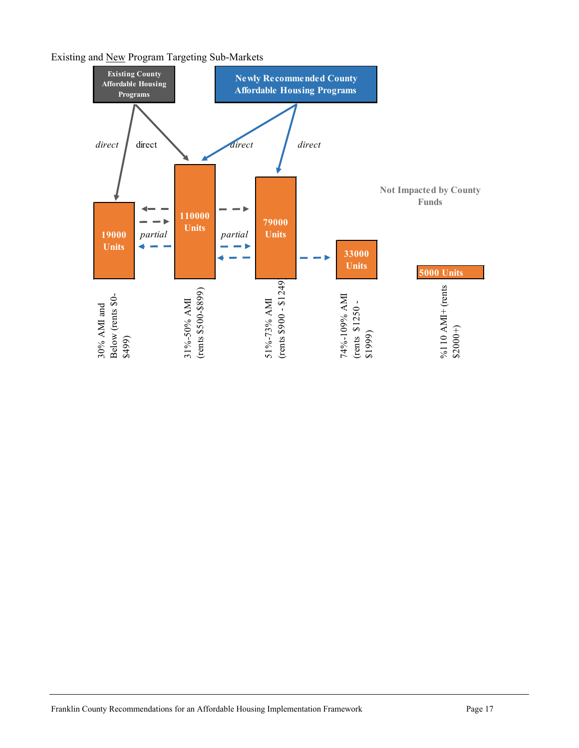